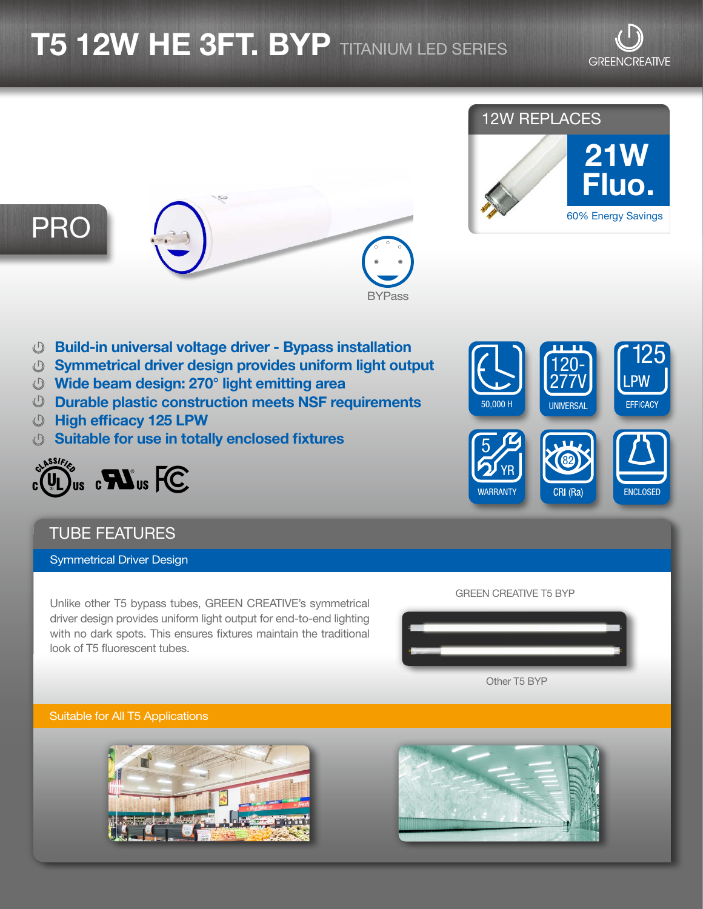# $\overline{\bf 15}$   $\bf 12W$   $\overline{\bf HE}$   $\bf 3FT$ .  $\overline{\bf BYP}$  titanium led series

## 12W REPLACES



# PRO



- Build-in universal voltage driver Bypass installation
- Symmetrical driver design provides uniform light output
- Wide beam design: 270° light emitting area
- Durable plastic construction meets NSF requirements
- High efficacy 125 LPW
- Suitable for use in totally enclosed fixtures



## TUBE FEATURES

Symmetrical Driver Design

Unlike other T5 bypass tubes, GREEN CREATIVE's symmetrical driver design provides uniform light output for end-to-end lighting with no dark spots. This ensures fixtures maintain the traditional look of T5 fluorescent tubes.



#### GREEN CREATIVE T5 BYP

Other T5 BYP

#### Suitable for All T5 Applications